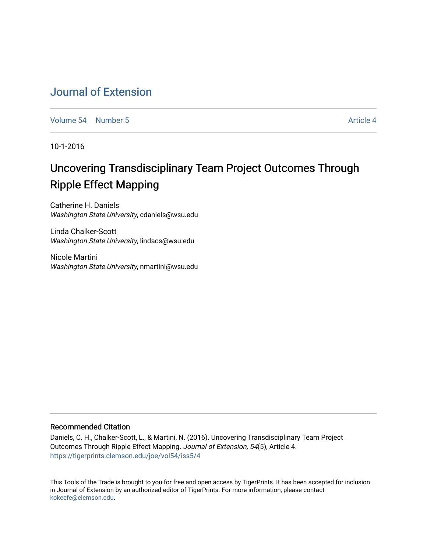## [Journal of Extension](https://tigerprints.clemson.edu/joe)

[Volume 54](https://tigerprints.clemson.edu/joe/vol54) [Number 5](https://tigerprints.clemson.edu/joe/vol54/iss5) Article 4

10-1-2016

# Uncovering Transdisciplinary Team Project Outcomes Through Ripple Effect Mapping

Catherine H. Daniels Washington State University, cdaniels@wsu.edu

Linda Chalker-Scott Washington State University, lindacs@wsu.edu

Nicole Martini Washington State University, nmartini@wsu.edu

#### Recommended Citation

Daniels, C. H., Chalker-Scott, L., & Martini, N. (2016). Uncovering Transdisciplinary Team Project Outcomes Through Ripple Effect Mapping. Journal of Extension, 54(5), Article 4. <https://tigerprints.clemson.edu/joe/vol54/iss5/4>

This Tools of the Trade is brought to you for free and open access by TigerPrints. It has been accepted for inclusion in Journal of Extension by an authorized editor of TigerPrints. For more information, please contact [kokeefe@clemson.edu](mailto:kokeefe@clemson.edu).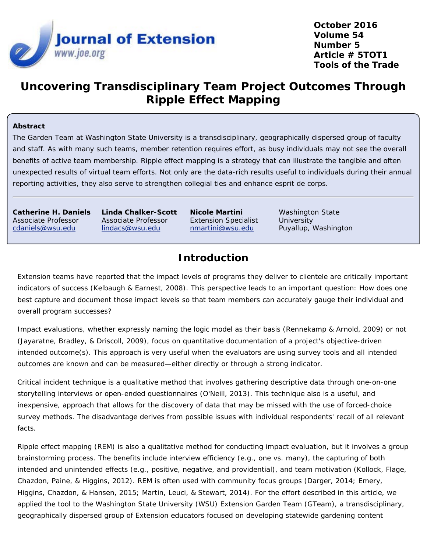

**October 2016 Volume 54 Number 5 Article # 5TOT1 Tools of the Trade**

## **Uncovering Transdisciplinary Team Project Outcomes Through Ripple Effect Mapping**

#### **Abstract**

The Garden Team at Washington State University is a transdisciplinary, geographically dispersed group of faculty and staff. As with many such teams, member retention requires effort, as busy individuals may not see the overall benefits of active team membership. Ripple effect mapping is a strategy that can illustrate the tangible and often unexpected results of virtual team efforts. Not only are the data-rich results useful to individuals during their annual reporting activities, they also serve to strengthen collegial ties and enhance esprit de corps.

**Catherine H. Daniels** Associate Professor [cdaniels@wsu.edu](mailto:cdaniels@wsu.edu)

**Linda Chalker-Scott** Associate Professor [lindacs@wsu.edu](mailto:lindacs@wsu.edu)

**Nicole Martini** Extension Specialist [nmartini@wsu.edu](mailto:nmartini@wsu.edu)

Washington State **University** Puyallup, Washington

## **Introduction**

Extension teams have reported that the impact levels of programs they deliver to clientele are critically important indicators of success (Kelbaugh & Earnest, 2008). This perspective leads to an important question: How does one best capture and document those impact levels so that team members can accurately gauge their individual and overall program successes?

Impact evaluations, whether expressly naming the logic model as their basis (Rennekamp & Arnold, 2009) or not (Jayaratne, Bradley, & Driscoll, 2009), focus on quantitative documentation of a project's objective-driven intended outcome(s). This approach is very useful when the evaluators are using survey tools and all intended outcomes are known and can be measured—either directly or through a strong indicator.

Critical incident technique is a qualitative method that involves gathering descriptive data through one-on-one storytelling interviews or open-ended questionnaires (O'Neill, 2013). This technique also is a useful, and inexpensive, approach that allows for the discovery of data that may be missed with the use of forced-choice survey methods. The disadvantage derives from possible issues with individual respondents' recall of all relevant facts.

Ripple effect mapping (REM) is also a qualitative method for conducting impact evaluation, but it involves a group brainstorming process. The benefits include interview efficiency (e.g., one vs. many), the capturing of both intended and unintended effects (e.g., positive, negative, and providential), and team motivation (Kollock, Flage, Chazdon, Paine, & Higgins, 2012). REM is often used with community focus groups (Darger, 2014; Emery, Higgins, Chazdon, & Hansen, 2015; Martin, Leuci, & Stewart, 2014). For the effort described in this article, we applied the tool to the Washington State University (WSU) Extension Garden Team (GTeam), a transdisciplinary, geographically dispersed group of Extension educators focused on developing statewide gardening content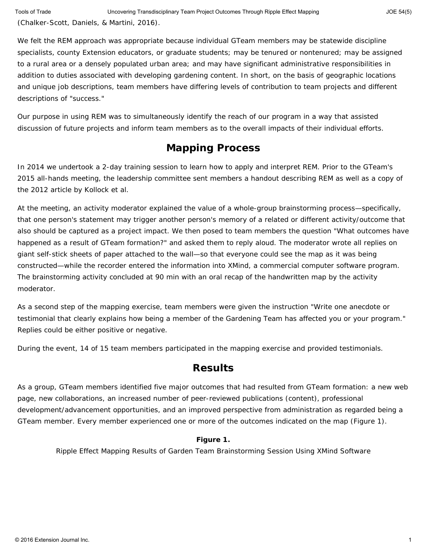We felt the REM approach was appropriate because individual GTeam members may be statewide discipline specialists, county Extension educators, or graduate students; may be tenured or nontenured; may be assigned to a rural area or a densely populated urban area; and may have significant administrative responsibilities in addition to duties associated with developing gardening content. In short, on the basis of geographic locations and unique job descriptions, team members have differing levels of contribution to team projects and different descriptions of "success."

Our purpose in using REM was to simultaneously identify the reach of our program in a way that assisted discussion of future projects and inform team members as to the overall impacts of their individual efforts.

## **Mapping Process**

In 2014 we undertook a 2-day training session to learn how to apply and interpret REM. Prior to the GTeam's 2015 all-hands meeting, the leadership committee sent members a handout describing REM as well as a copy of the 2012 article by Kollock et al.

At the meeting, an activity moderator explained the value of a whole-group brainstorming process—specifically, that one person's statement may trigger another person's memory of a related or different activity/outcome that also should be captured as a project impact. We then posed to team members the question "What outcomes have happened as a result of GTeam formation?" and asked them to reply aloud. The moderator wrote all replies on giant self-stick sheets of paper attached to the wall—so that everyone could see the map as it was being constructed—while the recorder entered the information into XMind, a commercial computer software program. The brainstorming activity concluded at 90 min with an oral recap of the handwritten map by the activity moderator.

As a second step of the mapping exercise, team members were given the instruction "Write one anecdote or testimonial that clearly explains how being a member of the Gardening Team has affected you or your program." Replies could be either positive or negative.

During the event, 14 of 15 team members participated in the mapping exercise and provided testimonials.

### **Results**

As a group, GTeam members identified five major outcomes that had resulted from GTeam formation: a new web page, new collaborations, an increased number of peer-reviewed publications (content), professional development/advancement opportunities, and an improved perspective from administration as regarded being a GTeam member. Every member experienced one or more of the outcomes indicated on the map (Figure 1).

#### **Figure 1.**

Ripple Effect Mapping Results of Garden Team Brainstorming Session Using XMind Software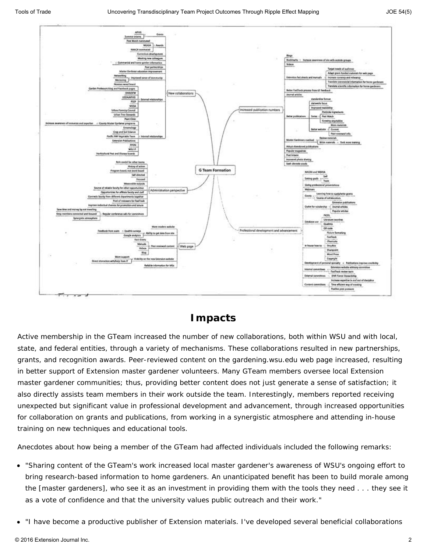



### **Impacts**

Active membership in the GTeam increased the number of new collaborations, both within WSU and with local, state, and federal entities, through a variety of mechanisms. These collaborations resulted in new partnerships, grants, and recognition awards. Peer-reviewed content on the gardening.wsu.edu web page increased, resulting in better support of Extension master gardener volunteers. Many GTeam members oversee local Extension master gardener communities; thus, providing better content does not just generate a sense of satisfaction; it also directly assists team members in their work outside the team. Interestingly, members reported receiving unexpected but significant value in professional development and advancement, through increased opportunities for collaboration on grants and publications, from working in a synergistic atmosphere and attending in-house training on new techniques and educational tools.

Anecdotes about how being a member of the GTeam had affected individuals included the following remarks:

- "Sharing content of the GTeam's work increased local master gardener's awareness of WSU's ongoing effort to bring research-based information to home gardeners. An unanticipated benefit has been to build morale among the [master gardeners], who see it as an investment in providing them with the tools they need . . . they see it as a vote of confidence and that the university values public outreach and their work."
- "I have become a productive publisher of Extension materials. I've developed several beneficial collaborations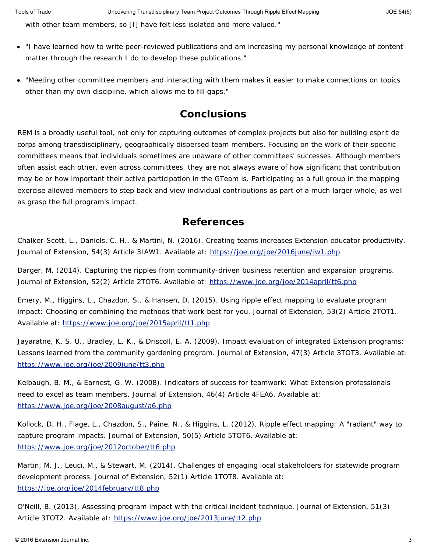with other team members, so [I] have felt less isolated and more valued."

- "I have learned how to write peer-reviewed publications and am increasing my personal knowledge of content matter through the research I do to develop these publications."
- "Meeting other committee members and interacting with them makes it easier to make connections on topics other than my own discipline, which allows me to fill gaps."

### **Conclusions**

REM is a broadly useful tool, not only for capturing outcomes of complex projects but also for building esprit de corps among transdisciplinary, geographically dispersed team members. Focusing on the work of their specific committees means that individuals sometimes are unaware of other committees' successes. Although members often assist each other, even across committees, they are not always aware of how significant that contribution may be or how important their active participation in the GTeam is. Participating as a full group in the mapping exercise allowed members to step back and view individual contributions as part of a much larger whole, as well as grasp the full program's impact.

### **References**

Chalker-Scott, L., Daniels, C. H., & Martini, N. (2016). Creating teams increases Extension educator productivity. *Journal of Extension*, *54*(3) Article 3IAW1. Available at:<https://joe.org/joe/2016june/iw1.php>

Darger, M. (2014). Capturing the ripples from community-driven business retention and expansion programs. *Journal of Extension*, *52*(2) Article 2TOT6. Available at:<https://www.joe.org/joe/2014april/tt6.php>

Emery, M., Higgins, L., Chazdon, S., & Hansen, D. (2015). Using ripple effect mapping to evaluate program impact: Choosing or combining the methods that work best for you. *Journal of Extension*, *53*(2) Article 2TOT1. Available at:<https://www.joe.org/joe/2015april/tt1.php>

Jayaratne, K. S. U., Bradley, L. K., & Driscoll, E. A. (2009). Impact evaluation of integrated Extension programs: Lessons learned from the community gardening program. *Journal of Extension*, *47*(3) Article 3TOT3. Available at: <https://www.joe.org/joe/2009june/tt3.php>

Kelbaugh, B. M., & Earnest, G. W. (2008). Indicators of success for teamwork: What Extension professionals need to excel as team members. *Journal of Extension*, *46*(4) Article 4FEA6. Available at: <https://www.joe.org/joe/2008august/a6.php>

Kollock, D. H., Flage, L., Chazdon, S., Paine, N., & Higgins, L. (2012). Ripple effect mapping: A "radiant" way to capture program impacts. *Journal of Extension*, *50*(5) Article 5TOT6. Available at: <https://www.joe.org/joe/2012october/tt6.php>

Martin, M. J., Leuci, M., & Stewart, M. (2014). Challenges of engaging local stakeholders for statewide program development process. *Journal of Extension*, *52*(1) Article 1TOT8. Available at: <https://joe.org/joe/2014february/tt8.php>

O'Neill, B. (2013). Assessing program impact with the critical incident technique. *Journal of Extension*, *51*(3) Article 3TOT2. Available at:<https://www.joe.org/joe/2013june/tt2.php>